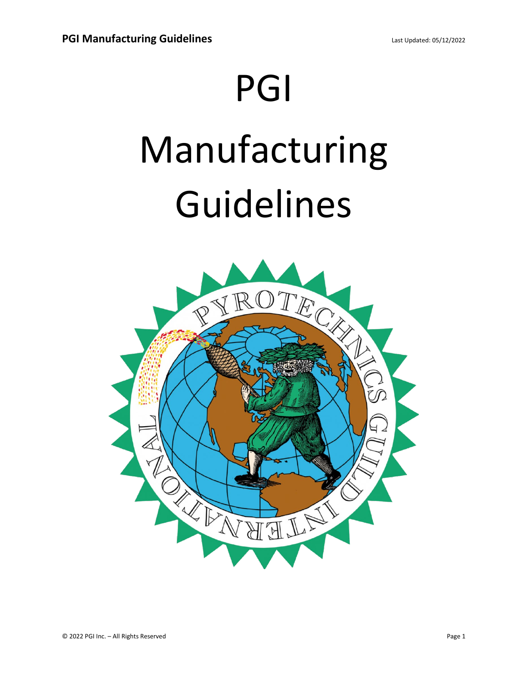## PGI

## Manufacturing Guidelines